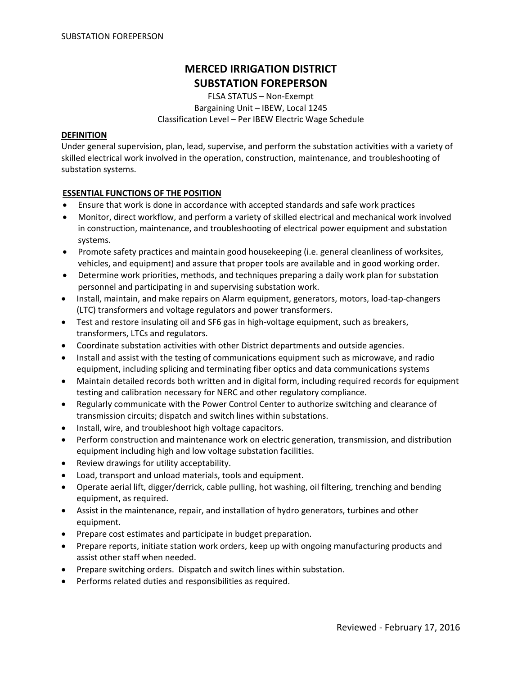# **MERCED IRRIGATION DISTRICT SUBSTATION FOREPERSON**

FLSA STATUS – Non‐Exempt Bargaining Unit – IBEW, Local 1245 Classification Level – Per IBEW Electric Wage Schedule

#### **DEFINITION**

Under general supervision, plan, lead, supervise, and perform the substation activities with a variety of skilled electrical work involved in the operation, construction, maintenance, and troubleshooting of substation systems.

#### **ESSENTIAL FUNCTIONS OF THE POSITION**

- Ensure that work is done in accordance with accepted standards and safe work practices
- Monitor, direct workflow, and perform a variety of skilled electrical and mechanical work involved in construction, maintenance, and troubleshooting of electrical power equipment and substation systems.
- Promote safety practices and maintain good housekeeping (i.e. general cleanliness of worksites, vehicles, and equipment) and assure that proper tools are available and in good working order.
- Determine work priorities, methods, and techniques preparing a daily work plan for substation personnel and participating in and supervising substation work.
- Install, maintain, and make repairs on Alarm equipment, generators, motors, load‐tap‐changers (LTC) transformers and voltage regulators and power transformers.
- Test and restore insulating oil and SF6 gas in high‐voltage equipment, such as breakers, transformers, LTCs and regulators.
- Coordinate substation activities with other District departments and outside agencies.
- Install and assist with the testing of communications equipment such as microwave, and radio equipment, including splicing and terminating fiber optics and data communications systems
- Maintain detailed records both written and in digital form, including required records for equipment testing and calibration necessary for NERC and other regulatory compliance.
- Regularly communicate with the Power Control Center to authorize switching and clearance of transmission circuits; dispatch and switch lines within substations.
- Install, wire, and troubleshoot high voltage capacitors.
- Perform construction and maintenance work on electric generation, transmission, and distribution equipment including high and low voltage substation facilities.
- Review drawings for utility acceptability.
- Load, transport and unload materials, tools and equipment.
- Operate aerial lift, digger/derrick, cable pulling, hot washing, oil filtering, trenching and bending equipment, as required.
- Assist in the maintenance, repair, and installation of hydro generators, turbines and other equipment.
- Prepare cost estimates and participate in budget preparation.
- Prepare reports, initiate station work orders, keep up with ongoing manufacturing products and assist other staff when needed.
- Prepare switching orders. Dispatch and switch lines within substation.
- Performs related duties and responsibilities as required.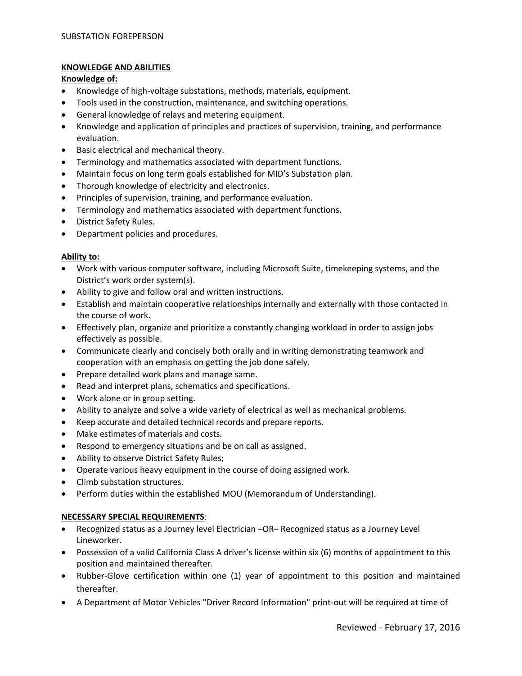# **KNOWLEDGE AND ABILITIES**

### **Knowledge of:**

- Knowledge of high‐voltage substations, methods, materials, equipment.
- Tools used in the construction, maintenance, and switching operations.
- General knowledge of relays and metering equipment.
- Knowledge and application of principles and practices of supervision, training, and performance evaluation.
- Basic electrical and mechanical theory.
- Terminology and mathematics associated with department functions.
- Maintain focus on long term goals established for MID's Substation plan.
- Thorough knowledge of electricity and electronics.
- Principles of supervision, training, and performance evaluation.
- Terminology and mathematics associated with department functions.
- District Safety Rules.
- Department policies and procedures.

#### **Ability to:**

- Work with various computer software, including Microsoft Suite, timekeeping systems, and the District's work order system(s).
- Ability to give and follow oral and written instructions.
- Establish and maintain cooperative relationships internally and externally with those contacted in the course of work.
- Effectively plan, organize and prioritize a constantly changing workload in order to assign jobs effectively as possible.
- Communicate clearly and concisely both orally and in writing demonstrating teamwork and cooperation with an emphasis on getting the job done safely.
- Prepare detailed work plans and manage same.
- Read and interpret plans, schematics and specifications.
- Work alone or in group setting.
- Ability to analyze and solve a wide variety of electrical as well as mechanical problems.
- Keep accurate and detailed technical records and prepare reports.
- Make estimates of materials and costs.
- Respond to emergency situations and be on call as assigned.
- Ability to observe District Safety Rules;
- Operate various heavy equipment in the course of doing assigned work.
- Climb substation structures.
- Perform duties within the established MOU (Memorandum of Understanding).

# **NECESSARY SPECIAL REQUIREMENTS**:

- Recognized status as a Journey level Electrician –OR– Recognized status as a Journey Level Lineworker.
- Possession of a valid California Class A driver's license within six (6) months of appointment to this position and maintained thereafter.
- Rubber-Glove certification within one (1) year of appointment to this position and maintained thereafter.
- A Department of Motor Vehicles "Driver Record Information" print‐out will be required at time of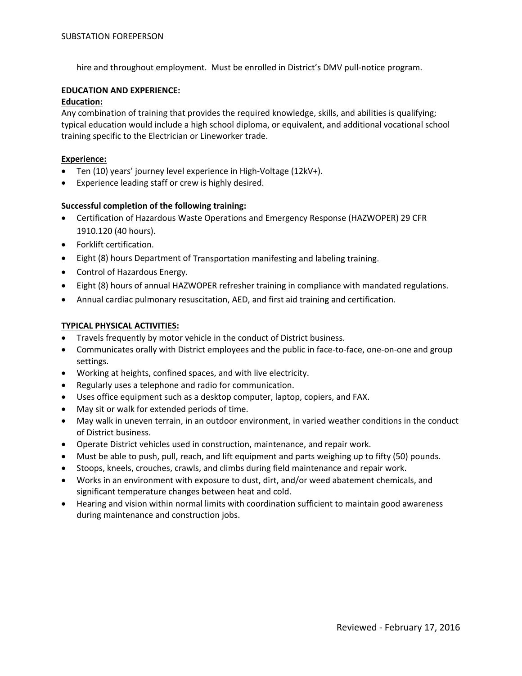hire and throughout employment. Must be enrolled in District's DMV pull‐notice program.

## **EDUCATION AND EXPERIENCE:**

#### **Education:**

Any combination of training that provides the required knowledge, skills, and abilities is qualifying; typical education would include a high school diploma, or equivalent, and additional vocational school training specific to the Electrician or Lineworker trade.

## **Experience:**

- Ten (10) years' journey level experience in High‐Voltage (12kV+).
- Experience leading staff or crew is highly desired.

# **Successful completion of the following training:**

- Certification of Hazardous Waste Operations and Emergency Response (HAZWOPER) 29 CFR 1910.120 (40 hours).
- Forklift certification.
- Eight (8) hours Department of Transportation manifesting and labeling training.
- Control of Hazardous Energy.
- Eight (8) hours of annual HAZWOPER refresher training in compliance with mandated regulations.
- Annual cardiac pulmonary resuscitation, AED, and first aid training and certification.

# **TYPICAL PHYSICAL ACTIVITIES:**

- Travels frequently by motor vehicle in the conduct of District business.
- Communicates orally with District employees and the public in face-to-face, one-on-one and group settings.
- Working at heights, confined spaces, and with live electricity.
- Regularly uses a telephone and radio for communication.
- Uses office equipment such as a desktop computer, laptop, copiers, and FAX.
- May sit or walk for extended periods of time.
- May walk in uneven terrain, in an outdoor environment, in varied weather conditions in the conduct of District business.
- Operate District vehicles used in construction, maintenance, and repair work.
- Must be able to push, pull, reach, and lift equipment and parts weighing up to fifty (50) pounds.
- Stoops, kneels, crouches, crawls, and climbs during field maintenance and repair work.
- Works in an environment with exposure to dust, dirt, and/or weed abatement chemicals, and significant temperature changes between heat and cold.
- Hearing and vision within normal limits with coordination sufficient to maintain good awareness during maintenance and construction jobs.